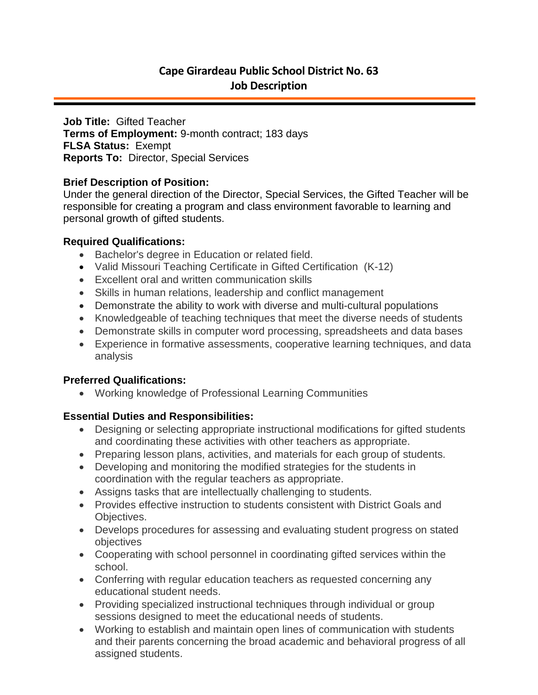# **Cape Girardeau Public School District No. 63 Job Description**

**Job Title:** Gifted Teacher **Terms of Employment:** 9-month contract; 183 days **FLSA Status:** Exempt **Reports To:** Director, Special Services

## **Brief Description of Position:**

Under the general direction of the Director, Special Services, the Gifted Teacher will be responsible for creating a program and class environment favorable to learning and personal growth of gifted students.

## **Required Qualifications:**

- Bachelor's degree in Education or related field.
- Valid Missouri Teaching Certificate in Gifted Certification (K-12)
- Excellent oral and written communication skills
- Skills in human relations, leadership and conflict management
- Demonstrate the ability to work with diverse and multi-cultural populations
- Knowledgeable of teaching techniques that meet the diverse needs of students
- Demonstrate skills in computer word processing, spreadsheets and data bases
- Experience in formative assessments, cooperative learning techniques, and data analysis

# **Preferred Qualifications:**

Working knowledge of Professional Learning Communities

# **Essential Duties and Responsibilities:**

- Designing or selecting appropriate instructional modifications for gifted students and coordinating these activities with other teachers as appropriate.
- Preparing lesson plans, activities, and materials for each group of students.
- Developing and monitoring the modified strategies for the students in coordination with the regular teachers as appropriate.
- Assigns tasks that are intellectually challenging to students.
- Provides effective instruction to students consistent with District Goals and Objectives.
- Develops procedures for assessing and evaluating student progress on stated objectives
- Cooperating with school personnel in coordinating gifted services within the school.
- Conferring with regular education teachers as requested concerning any educational student needs.
- Providing specialized instructional techniques through individual or group sessions designed to meet the educational needs of students.
- Working to establish and maintain open lines of communication with students and their parents concerning the broad academic and behavioral progress of all assigned students.